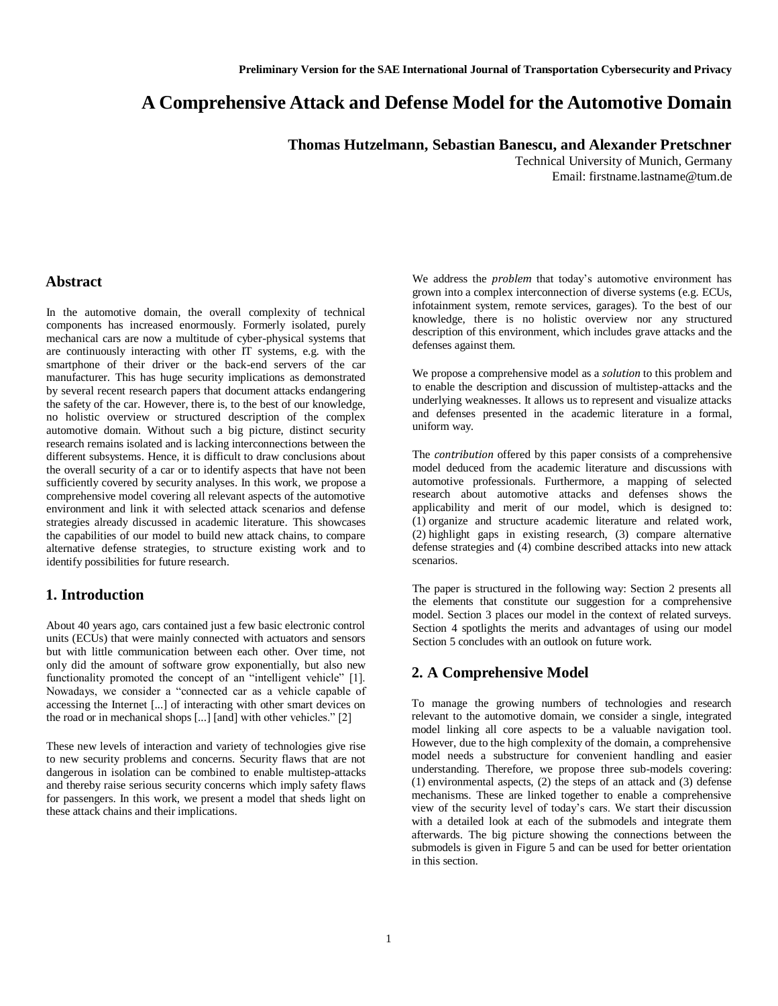# **A Comprehensive Attack and Defense Model for the Automotive Domain**

**Thomas Hutzelmann, Sebastian Banescu, and Alexander Pretschner**

Technical University of Munich, Germany Email: firstname.lastname@tum.de

### **Abstract**

In the automotive domain, the overall complexity of technical components has increased enormously. Formerly isolated, purely mechanical cars are now a multitude of cyber-physical systems that are continuously interacting with other IT systems, e.g. with the smartphone of their driver or the back-end servers of the car manufacturer. This has huge security implications as demonstrated by several recent research papers that document attacks endangering the safety of the car. However, there is, to the best of our knowledge, no holistic overview or structured description of the complex automotive domain. Without such a big picture, distinct security research remains isolated and is lacking interconnections between the different subsystems. Hence, it is difficult to draw conclusions about the overall security of a car or to identify aspects that have not been sufficiently covered by security analyses. In this work, we propose a comprehensive model covering all relevant aspects of the automotive environment and link it with selected attack scenarios and defense strategies already discussed in academic literature. This showcases the capabilities of our model to build new attack chains, to compare alternative defense strategies, to structure existing work and to identify possibilities for future research.

### **1. Introduction**

About 40 years ago, cars contained just a few basic electronic control units (ECUs) that were mainly connected with actuators and sensors but with little communication between each other. Over time, not only did the amount of software grow exponentially, but also new functionality promoted the concept of an "intelligent vehicle" [1]. Nowadays, we consider a "connected car as a vehicle capable of accessing the Internet [...] of interacting with other smart devices on the road or in mechanical shops [...] [and] with other vehicles." [2]

These new levels of interaction and variety of technologies give rise to new security problems and concerns. Security flaws that are not dangerous in isolation can be combined to enable multistep-attacks and thereby raise serious security concerns which imply safety flaws for passengers. In this work, we present a model that sheds light on these attack chains and their implications.

We address the *problem* that today's automotive environment has grown into a complex interconnection of diverse systems (e.g. ECUs, infotainment system, remote services, garages). To the best of our knowledge, there is no holistic overview nor any structured description of this environment, which includes grave attacks and the defenses against them.

We propose a comprehensive model as a *solution* to this problem and to enable the description and discussion of multistep-attacks and the underlying weaknesses. It allows us to represent and visualize attacks and defenses presented in the academic literature in a formal, uniform way.

The *contribution* offered by this paper consists of a comprehensive model deduced from the academic literature and discussions with automotive professionals. Furthermore, a mapping of selected research about automotive attacks and defenses shows the applicability and merit of our model, which is designed to: (1) organize and structure academic literature and related work, (2) highlight gaps in existing research, (3) compare alternative defense strategies and (4) combine described attacks into new attack scenarios.

The paper is structured in the following way: Section 2 presents all the elements that constitute our suggestion for a comprehensive model. Section 3 places our model in the context of related surveys. Section 4 spotlights the merits and advantages of using our model Section 5 concludes with an outlook on future work.

### **2. A Comprehensive Model**

To manage the growing numbers of technologies and research relevant to the automotive domain, we consider a single, integrated model linking all core aspects to be a valuable navigation tool. However, due to the high complexity of the domain, a comprehensive model needs a substructure for convenient handling and easier understanding. Therefore, we propose three sub-models covering: (1) environmental aspects, (2) the steps of an attack and (3) defense mechanisms. These are linked together to enable a comprehensive view of the security level of today's cars. We start their discussion with a detailed look at each of the submodels and integrate them afterwards. The big picture showing the connections between the submodels is given in Figure 5 and can be used for better orientation in this section.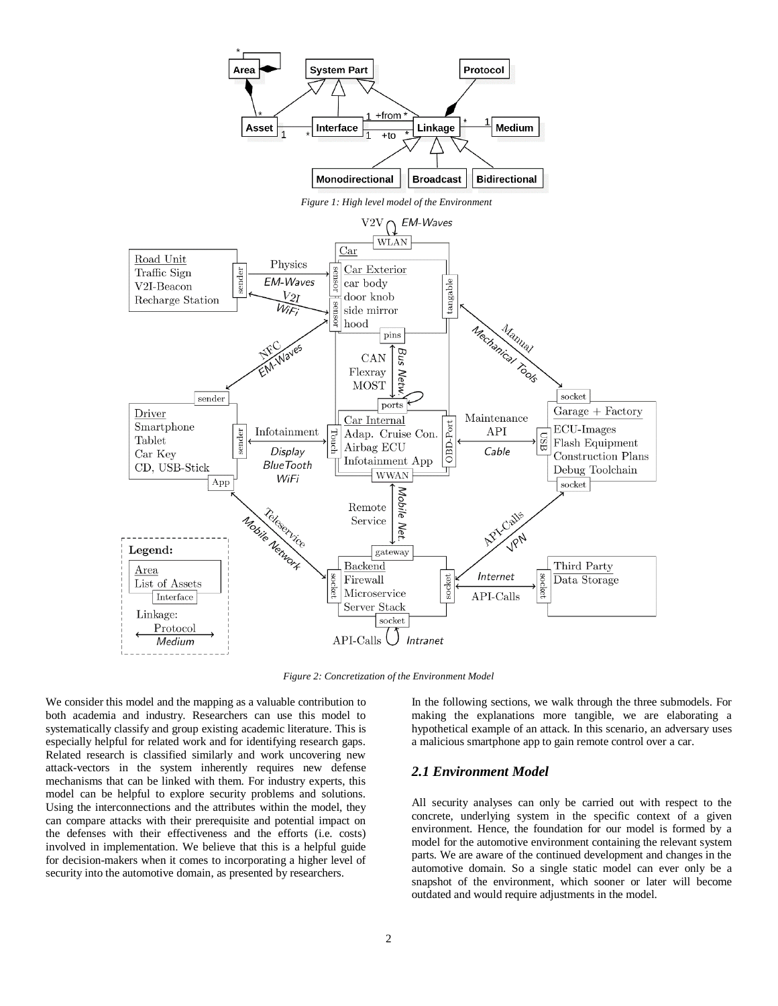

*Figure 2: Concretization of the Environment Model*

We consider this model and the mapping as a valuable contribution to both academia and industry. Researchers can use this model to systematically classify and group existing academic literature. This is especially helpful for related work and for identifying research gaps. Related research is classified similarly and work uncovering new attack-vectors in the system inherently requires new defense mechanisms that can be linked with them. For industry experts, this model can be helpful to explore security problems and solutions. Using the interconnections and the attributes within the model, they can compare attacks with their prerequisite and potential impact on the defenses with their effectiveness and the efforts (i.e. costs) involved in implementation. We believe that this is a helpful guide for decision-makers when it comes to incorporating a higher level of security into the automotive domain, as presented by researchers.

In the following sections, we walk through the three submodels. For making the explanations more tangible, we are elaborating a hypothetical example of an attack. In this scenario, an adversary uses a malicious smartphone app to gain remote control over a car.

### *2.1 Environment Model*

All security analyses can only be carried out with respect to the concrete, underlying system in the specific context of a given environment. Hence, the foundation for our model is formed by a model for the automotive environment containing the relevant system parts. We are aware of the continued development and changes in the automotive domain. So a single static model can ever only be a snapshot of the environment, which sooner or later will become outdated and would require adjustments in the model.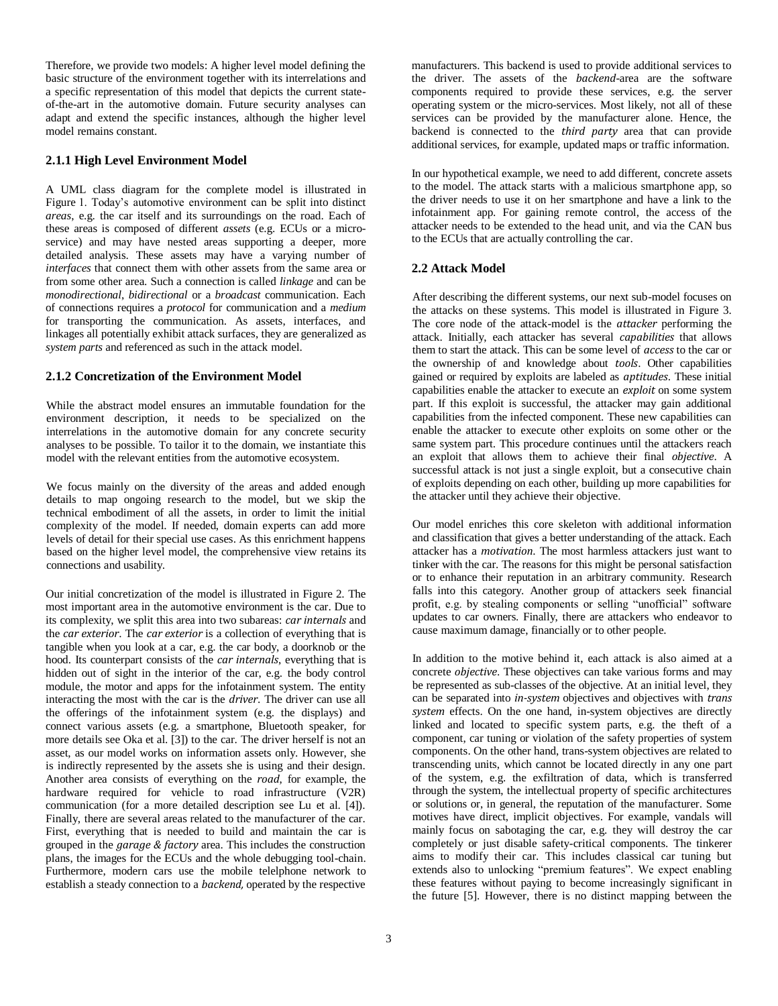Therefore, we provide two models: A higher level model defining the basic structure of the environment together with its interrelations and a specific representation of this model that depicts the current stateof-the-art in the automotive domain. Future security analyses can adapt and extend the specific instances, although the higher level model remains constant.

#### **2.1.1 High Level Environment Model**

A UML class diagram for the complete model is illustrated in Figure 1. Today's automotive environment can be split into distinct *areas*, e.g. the car itself and its surroundings on the road. Each of these areas is composed of different *assets* (e.g. ECUs or a microservice) and may have nested areas supporting a deeper, more detailed analysis. These assets may have a varying number of *interfaces* that connect them with other assets from the same area or from some other area. Such a connection is called *linkage* and can be *monodirectional*, *bidirectional* or a *broadcast* communication. Each of connections requires a *protocol* for communication and a *medium*  for transporting the communication. As assets, interfaces, and linkages all potentially exhibit attack surfaces, they are generalized as *system parts* and referenced as such in the attack model.

#### **2.1.2 Concretization of the Environment Model**

While the abstract model ensures an immutable foundation for the environment description, it needs to be specialized on the interrelations in the automotive domain for any concrete security analyses to be possible. To tailor it to the domain, we instantiate this model with the relevant entities from the automotive ecosystem.

We focus mainly on the diversity of the areas and added enough details to map ongoing research to the model, but we skip the technical embodiment of all the assets, in order to limit the initial complexity of the model. If needed, domain experts can add more levels of detail for their special use cases. As this enrichment happens based on the higher level model, the comprehensive view retains its connections and usability.

Our initial concretization of the model is illustrated in Figure 2. The most important area in the automotive environment is the car. Due to its complexity, we split this area into two subareas: *car internals* and the *car exterior*. The *car exterior* is a collection of everything that is tangible when you look at a car, e.g. the car body, a doorknob or the hood. Its counterpart consists of the *car internals*, everything that is hidden out of sight in the interior of the car, e.g. the body control module, the motor and apps for the infotainment system. The entity interacting the most with the car is the *driver*. The driver can use all the offerings of the infotainment system (e.g. the displays) and connect various assets (e.g. a smartphone, Bluetooth speaker, for more details see Oka et al. [3]) to the car. The driver herself is not an asset, as our model works on information assets only. However, she is indirectly represented by the assets she is using and their design. Another area consists of everything on the *road*, for example, the hardware required for vehicle to road infrastructure (V2R) communication (for a more detailed description see Lu et al. [4]). Finally, there are several areas related to the manufacturer of the car. First, everything that is needed to build and maintain the car is grouped in the *garage & factory* area. This includes the construction plans, the images for the ECUs and the whole debugging tool-chain. Furthermore, modern cars use the mobile telelphone network to establish a steady connection to a *backend,* operated by the respective

manufacturers. This backend is used to provide additional services to the driver. The assets of the *backend*-area are the software components required to provide these services, e.g. the server operating system or the micro-services. Most likely, not all of these services can be provided by the manufacturer alone. Hence, the backend is connected to the *third party* area that can provide additional services, for example, updated maps or traffic information.

In our hypothetical example, we need to add different, concrete assets to the model. The attack starts with a malicious smartphone app, so the driver needs to use it on her smartphone and have a link to the infotainment app. For gaining remote control, the access of the attacker needs to be extended to the head unit, and via the CAN bus to the ECUs that are actually controlling the car.

### **2.2 Attack Model**

After describing the different systems, our next sub-model focuses on the attacks on these systems. This model is illustrated in Figure 3. The core node of the attack-model is the *attacker* performing the attack. Initially, each attacker has several *capabilities* that allows them to start the attack. This can be some level of *access* to the car or the ownership of and knowledge about *tools*. Other capabilities gained or required by exploits are labeled as *aptitudes*. These initial capabilities enable the attacker to execute an *exploit* on some system part. If this exploit is successful, the attacker may gain additional capabilities from the infected component. These new capabilities can enable the attacker to execute other exploits on some other or the same system part. This procedure continues until the attackers reach an exploit that allows them to achieve their final *objective*. A successful attack is not just a single exploit, but a consecutive chain of exploits depending on each other, building up more capabilities for the attacker until they achieve their objective.

Our model enriches this core skeleton with additional information and classification that gives a better understanding of the attack. Each attacker has a *motivation*. The most harmless attackers just want to tinker with the car. The reasons for this might be personal satisfaction or to enhance their reputation in an arbitrary community. Research falls into this category. Another group of attackers seek financial profit, e.g. by stealing components or selling "unofficial" software updates to car owners. Finally, there are attackers who endeavor to cause maximum damage, financially or to other people.

In addition to the motive behind it, each attack is also aimed at a concrete *objective*. These objectives can take various forms and may be represented as sub-classes of the objective. At an initial level, they can be separated into *in-system* objectives and objectives with *trans system* effects. On the one hand, in-system objectives are directly linked and located to specific system parts, e.g. the theft of a component, car tuning or violation of the safety properties of system components. On the other hand, trans-system objectives are related to transcending units, which cannot be located directly in any one part of the system, e.g. the exfiltration of data, which is transferred through the system, the intellectual property of specific architectures or solutions or, in general, the reputation of the manufacturer. Some motives have direct, implicit objectives. For example, vandals will mainly focus on sabotaging the car, e.g. they will destroy the car completely or just disable safety-critical components. The tinkerer aims to modify their car. This includes classical car tuning but extends also to unlocking "premium features". We expect enabling these features without paying to become increasingly significant in the future [5]. However, there is no distinct mapping between the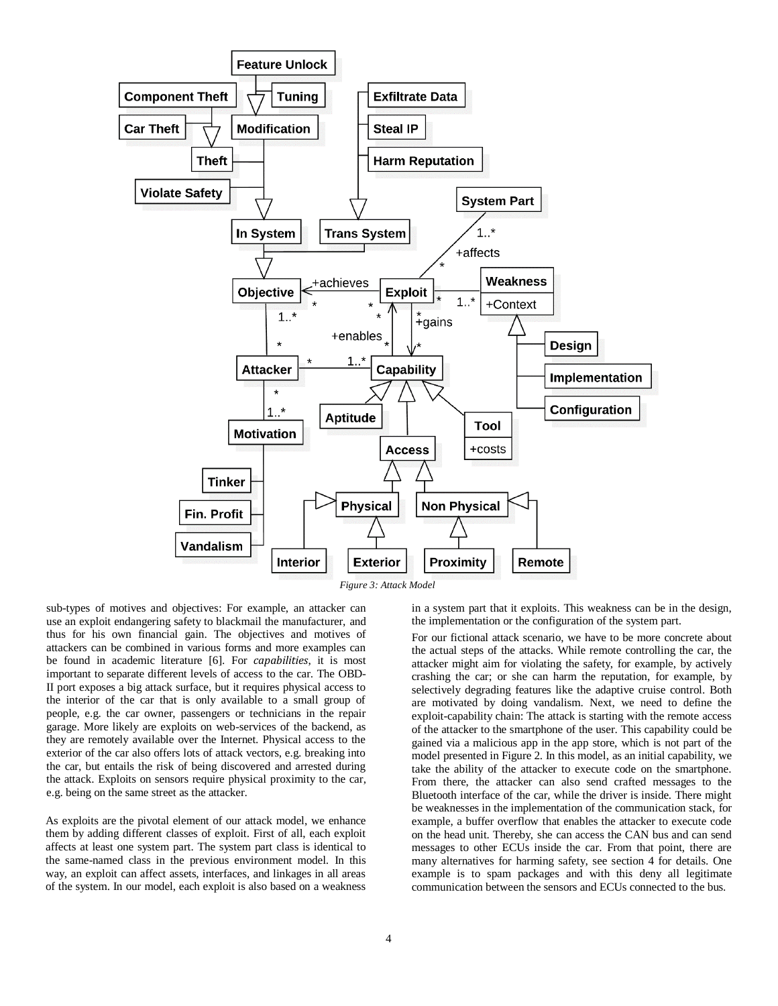

sub-types of motives and objectives: For example, an attacker can use an exploit endangering safety to blackmail the manufacturer, and thus for his own financial gain. The objectives and motives of attackers can be combined in various forms and more examples can be found in academic literature [6]. For *capabilities*, it is most important to separate different levels of access to the car. The OBD-II port exposes a big attack surface, but it requires physical access to the interior of the car that is only available to a small group of people, e.g. the car owner, passengers or technicians in the repair garage. More likely are exploits on web-services of the backend, as they are remotely available over the Internet. Physical access to the exterior of the car also offers lots of attack vectors, e.g. breaking into the car, but entails the risk of being discovered and arrested during the attack. Exploits on sensors require physical proximity to the car, e.g. being on the same street as the attacker.

As exploits are the pivotal element of our attack model, we enhance them by adding different classes of exploit. First of all, each exploit affects at least one system part. The system part class is identical to the same-named class in the previous environment model. In this way, an exploit can affect assets, interfaces, and linkages in all areas of the system. In our model, each exploit is also based on a weakness

in a system part that it exploits. This weakness can be in the design, the implementation or the configuration of the system part.

For our fictional attack scenario, we have to be more concrete about the actual steps of the attacks. While remote controlling the car, the attacker might aim for violating the safety, for example, by actively crashing the car; or she can harm the reputation, for example, by selectively degrading features like the adaptive cruise control. Both are motivated by doing vandalism. Next, we need to define the exploit-capability chain: The attack is starting with the remote access of the attacker to the smartphone of the user. This capability could be gained via a malicious app in the app store, which is not part of the model presented in Figure 2. In this model, as an initial capability, we take the ability of the attacker to execute code on the smartphone. From there, the attacker can also send crafted messages to the Bluetooth interface of the car, while the driver is inside. There might be weaknesses in the implementation of the communication stack, for example, a buffer overflow that enables the attacker to execute code on the head unit. Thereby, she can access the CAN bus and can send messages to other ECUs inside the car. From that point, there are many alternatives for harming safety, see section 4 for details. One example is to spam packages and with this deny all legitimate communication between the sensors and ECUs connected to the bus.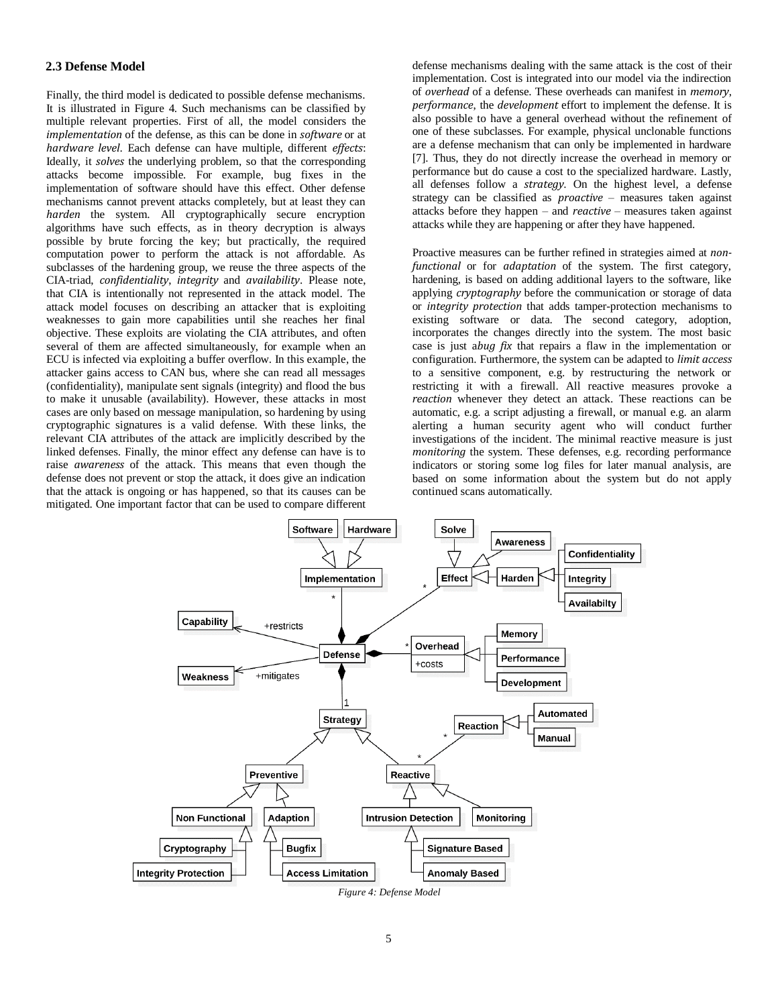### **2.3 Defense Model**

Finally, the third model is dedicated to possible defense mechanisms. It is illustrated in Figure 4. Such mechanisms can be classified by multiple relevant properties. First of all, the model considers the *implementation* of the defense, as this can be done in *software* or at *hardware level*. Each defense can have multiple, different *effects*: Ideally, it *solves* the underlying problem, so that the corresponding attacks become impossible. For example, bug fixes in the implementation of software should have this effect. Other defense mechanisms cannot prevent attacks completely, but at least they can *harden* the system. All cryptographically secure encryption algorithms have such effects, as in theory decryption is always possible by brute forcing the key; but practically, the required computation power to perform the attack is not affordable. As subclasses of the hardening group, we reuse the three aspects of the CIA-triad, *confidentiality*, *integrity* and *availability*. Please note, that CIA is intentionally not represented in the attack model. The attack model focuses on describing an attacker that is exploiting weaknesses to gain more capabilities until she reaches her final objective. These exploits are violating the CIA attributes, and often several of them are affected simultaneously, for example when an ECU is infected via exploiting a buffer overflow. In this example, the attacker gains access to CAN bus, where she can read all messages (confidentiality), manipulate sent signals (integrity) and flood the bus to make it unusable (availability). However, these attacks in most cases are only based on message manipulation, so hardening by using cryptographic signatures is a valid defense. With these links, the relevant CIA attributes of the attack are implicitly described by the linked defenses. Finally, the minor effect any defense can have is to raise *awareness* of the attack. This means that even though the defense does not prevent or stop the attack, it does give an indication that the attack is ongoing or has happened, so that its causes can be mitigated. One important factor that can be used to compare different defense mechanisms dealing with the same attack is the cost of their implementation. Cost is integrated into our model via the indirection of *overhead* of a defense. These overheads can manifest in *memory*, *performance*, the *development* effort to implement the defense. It is also possible to have a general overhead without the refinement of one of these subclasses. For example, physical unclonable functions are a defense mechanism that can only be implemented in hardware [7]. Thus, they do not directly increase the overhead in memory or performance but do cause a cost to the specialized hardware. Lastly, all defenses follow a *strategy*. On the highest level, a defense strategy can be classified as *proactive* – measures taken against attacks before they happen – and *reactive* – measures taken against attacks while they are happening or after they have happened.

Proactive measures can be further refined in strategies aimed at *nonfunctional* or for *adaptation* of the system. The first category, hardening, is based on adding additional layers to the software, like applying *cryptography* before the communication or storage of data or *integrity protection* that adds tamper-protection mechanisms to existing software or data. The second category, adoption, incorporates the changes directly into the system. The most basic case is just a*bug fix* that repairs a flaw in the implementation or configuration. Furthermore, the system can be adapted to *limit access*  to a sensitive component, e.g. by restructuring the network or restricting it with a firewall. All reactive measures provoke a *reaction* whenever they detect an attack. These reactions can be automatic, e.g. a script adjusting a firewall, or manual e.g. an alarm alerting a human security agent who will conduct further investigations of the incident. The minimal reactive measure is just *monitoring* the system. These defenses, e.g. recording performance indicators or storing some log files for later manual analysis, are based on some information about the system but do not apply continued scans automatically.

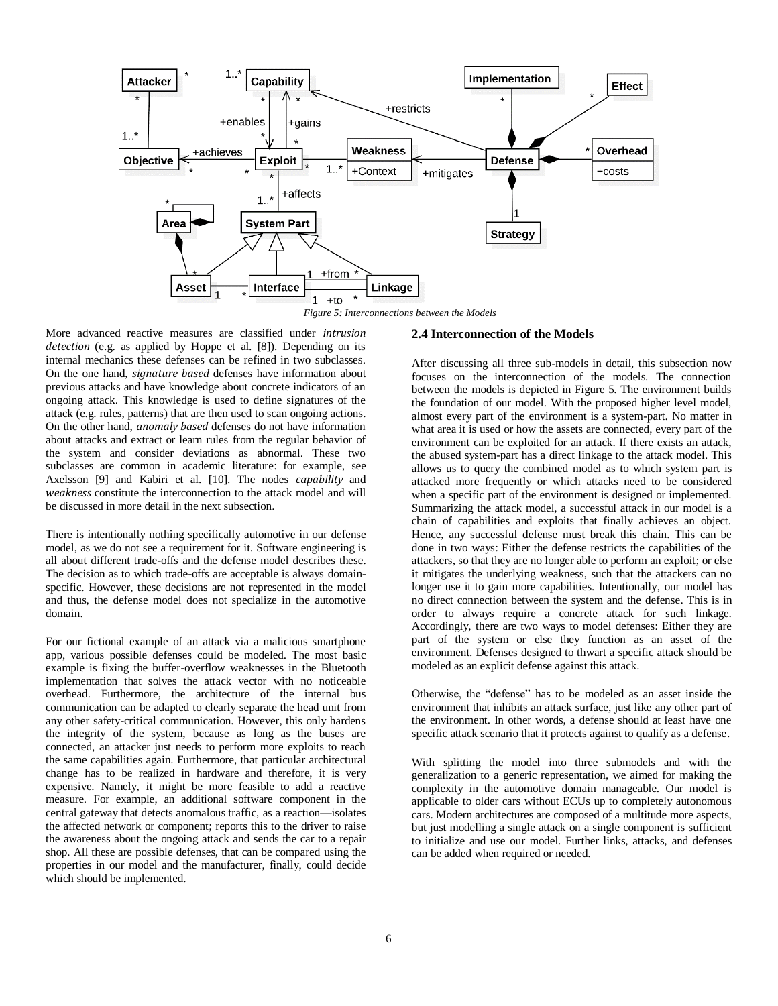

More advanced reactive measures are classified under *intrusion detection* (e.g. as applied by Hoppe et al. [8]). Depending on its internal mechanics these defenses can be refined in two subclasses. On the one hand, *signature based* defenses have information about previous attacks and have knowledge about concrete indicators of an ongoing attack. This knowledge is used to define signatures of the attack (e.g. rules, patterns) that are then used to scan ongoing actions. On the other hand, *anomaly based* defenses do not have information about attacks and extract or learn rules from the regular behavior of the system and consider deviations as abnormal. These two subclasses are common in academic literature: for example, see Axelsson [9] and Kabiri et al. [10]. The nodes *capability* and *weakness* constitute the interconnection to the attack model and will be discussed in more detail in the next subsection.

There is intentionally nothing specifically automotive in our defense model, as we do not see a requirement for it. Software engineering is all about different trade-offs and the defense model describes these. The decision as to which trade-offs are acceptable is always domainspecific. However, these decisions are not represented in the model and thus, the defense model does not specialize in the automotive domain.

For our fictional example of an attack via a malicious smartphone app, various possible defenses could be modeled. The most basic example is fixing the buffer-overflow weaknesses in the Bluetooth implementation that solves the attack vector with no noticeable overhead. Furthermore, the architecture of the internal bus communication can be adapted to clearly separate the head unit from any other safety-critical communication. However, this only hardens the integrity of the system, because as long as the buses are connected, an attacker just needs to perform more exploits to reach the same capabilities again. Furthermore, that particular architectural change has to be realized in hardware and therefore, it is very expensive. Namely, it might be more feasible to add a reactive measure. For example, an additional software component in the central gateway that detects anomalous traffic, as a reaction—isolates the affected network or component; reports this to the driver to raise the awareness about the ongoing attack and sends the car to a repair shop. All these are possible defenses, that can be compared using the properties in our model and the manufacturer, finally, could decide which should be implemented.

#### **2.4 Interconnection of the Models**

After discussing all three sub-models in detail, this subsection now focuses on the interconnection of the models. The connection between the models is depicted in Figure 5. The environment builds the foundation of our model. With the proposed higher level model, almost every part of the environment is a system-part. No matter in what area it is used or how the assets are connected, every part of the environment can be exploited for an attack. If there exists an attack, the abused system-part has a direct linkage to the attack model. This allows us to query the combined model as to which system part is attacked more frequently or which attacks need to be considered when a specific part of the environment is designed or implemented. Summarizing the attack model, a successful attack in our model is a chain of capabilities and exploits that finally achieves an object. Hence, any successful defense must break this chain. This can be done in two ways: Either the defense restricts the capabilities of the attackers, so that they are no longer able to perform an exploit; or else it mitigates the underlying weakness, such that the attackers can no longer use it to gain more capabilities. Intentionally, our model has no direct connection between the system and the defense. This is in order to always require a concrete attack for such linkage. Accordingly, there are two ways to model defenses: Either they are part of the system or else they function as an asset of the environment. Defenses designed to thwart a specific attack should be modeled as an explicit defense against this attack.

Otherwise, the "defense" has to be modeled as an asset inside the environment that inhibits an attack surface, just like any other part of the environment. In other words, a defense should at least have one specific attack scenario that it protects against to qualify as a defense.

With splitting the model into three submodels and with the generalization to a generic representation, we aimed for making the complexity in the automotive domain manageable. Our model is applicable to older cars without ECUs up to completely autonomous cars. Modern architectures are composed of a multitude more aspects, but just modelling a single attack on a single component is sufficient to initialize and use our model. Further links, attacks, and defenses can be added when required or needed.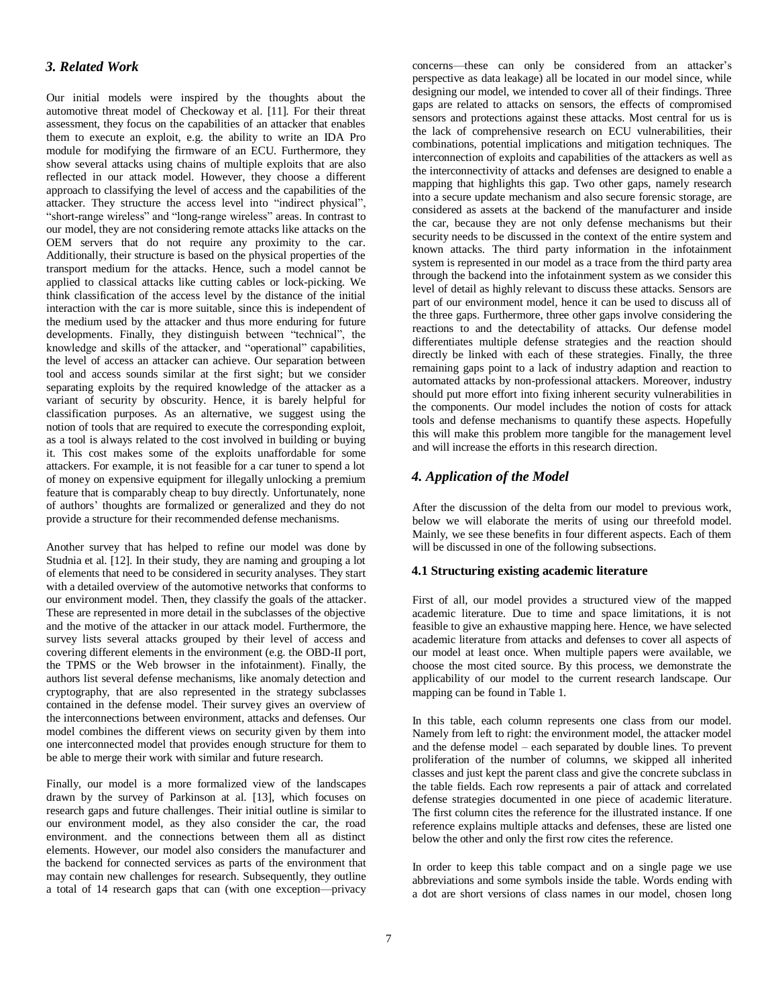### *3. Related Work*

Our initial models were inspired by the thoughts about the automotive threat model of Checkoway et al. [11]. For their threat assessment, they focus on the capabilities of an attacker that enables them to execute an exploit, e.g. the ability to write an IDA Pro module for modifying the firmware of an ECU. Furthermore, they show several attacks using chains of multiple exploits that are also reflected in our attack model. However, they choose a different approach to classifying the level of access and the capabilities of the attacker. They structure the access level into "indirect physical", "short-range wireless" and "long-range wireless" areas. In contrast to our model, they are not considering remote attacks like attacks on the OEM servers that do not require any proximity to the car. Additionally, their structure is based on the physical properties of the transport medium for the attacks. Hence, such a model cannot be applied to classical attacks like cutting cables or lock-picking. We think classification of the access level by the distance of the initial interaction with the car is more suitable, since this is independent of the medium used by the attacker and thus more enduring for future developments. Finally, they distinguish between "technical", the knowledge and skills of the attacker, and "operational" capabilities, the level of access an attacker can achieve. Our separation between tool and access sounds similar at the first sight; but we consider separating exploits by the required knowledge of the attacker as a variant of security by obscurity. Hence, it is barely helpful for classification purposes. As an alternative, we suggest using the notion of tools that are required to execute the corresponding exploit, as a tool is always related to the cost involved in building or buying it. This cost makes some of the exploits unaffordable for some attackers. For example, it is not feasible for a car tuner to spend a lot of money on expensive equipment for illegally unlocking a premium feature that is comparably cheap to buy directly. Unfortunately, none of authors' thoughts are formalized or generalized and they do not provide a structure for their recommended defense mechanisms.

Another survey that has helped to refine our model was done by Studnia et al. [12]. In their study, they are naming and grouping a lot of elements that need to be considered in security analyses. They start with a detailed overview of the automotive networks that conforms to our environment model. Then, they classify the goals of the attacker. These are represented in more detail in the subclasses of the objective and the motive of the attacker in our attack model. Furthermore, the survey lists several attacks grouped by their level of access and covering different elements in the environment (e.g. the OBD-II port, the TPMS or the Web browser in the infotainment). Finally, the authors list several defense mechanisms, like anomaly detection and cryptography, that are also represented in the strategy subclasses contained in the defense model. Their survey gives an overview of the interconnections between environment, attacks and defenses. Our model combines the different views on security given by them into one interconnected model that provides enough structure for them to be able to merge their work with similar and future research.

Finally, our model is a more formalized view of the landscapes drawn by the survey of Parkinson at al. [13], which focuses on research gaps and future challenges. Their initial outline is similar to our environment model, as they also consider the car, the road environment. and the connections between them all as distinct elements. However, our model also considers the manufacturer and the backend for connected services as parts of the environment that may contain new challenges for research. Subsequently, they outline a total of 14 research gaps that can (with one exception—privacy

concerns—these can only be considered from an attacker's perspective as data leakage) all be located in our model since, while designing our model, we intended to cover all of their findings. Three gaps are related to attacks on sensors, the effects of compromised sensors and protections against these attacks. Most central for us is the lack of comprehensive research on ECU vulnerabilities, their combinations, potential implications and mitigation techniques. The interconnection of exploits and capabilities of the attackers as well as the interconnectivity of attacks and defenses are designed to enable a mapping that highlights this gap. Two other gaps, namely research into a secure update mechanism and also secure forensic storage, are considered as assets at the backend of the manufacturer and inside the car, because they are not only defense mechanisms but their security needs to be discussed in the context of the entire system and known attacks. The third party information in the infotainment system is represented in our model as a trace from the third party area through the backend into the infotainment system as we consider this level of detail as highly relevant to discuss these attacks. Sensors are part of our environment model, hence it can be used to discuss all of the three gaps. Furthermore, three other gaps involve considering the reactions to and the detectability of attacks. Our defense model differentiates multiple defense strategies and the reaction should directly be linked with each of these strategies. Finally, the three remaining gaps point to a lack of industry adaption and reaction to automated attacks by non-professional attackers. Moreover, industry should put more effort into fixing inherent security vulnerabilities in the components. Our model includes the notion of costs for attack tools and defense mechanisms to quantify these aspects. Hopefully this will make this problem more tangible for the management level and will increase the efforts in this research direction.

### *4. Application of the Model*

After the discussion of the delta from our model to previous work, below we will elaborate the merits of using our threefold model. Mainly, we see these benefits in four different aspects. Each of them will be discussed in one of the following subsections.

### **4.1 Structuring existing academic literature**

First of all, our model provides a structured view of the mapped academic literature. Due to time and space limitations, it is not feasible to give an exhaustive mapping here. Hence, we have selected academic literature from attacks and defenses to cover all aspects of our model at least once. When multiple papers were available, we choose the most cited source. By this process, we demonstrate the applicability of our model to the current research landscape. Our mapping can be found in Table 1.

In this table, each column represents one class from our model. Namely from left to right: the environment model, the attacker model and the defense model – each separated by double lines. To prevent proliferation of the number of columns, we skipped all inherited classes and just kept the parent class and give the concrete subclass in the table fields. Each row represents a pair of attack and correlated defense strategies documented in one piece of academic literature. The first column cites the reference for the illustrated instance. If one reference explains multiple attacks and defenses, these are listed one below the other and only the first row cites the reference.

In order to keep this table compact and on a single page we use abbreviations and some symbols inside the table. Words ending with a dot are short versions of class names in our model, chosen long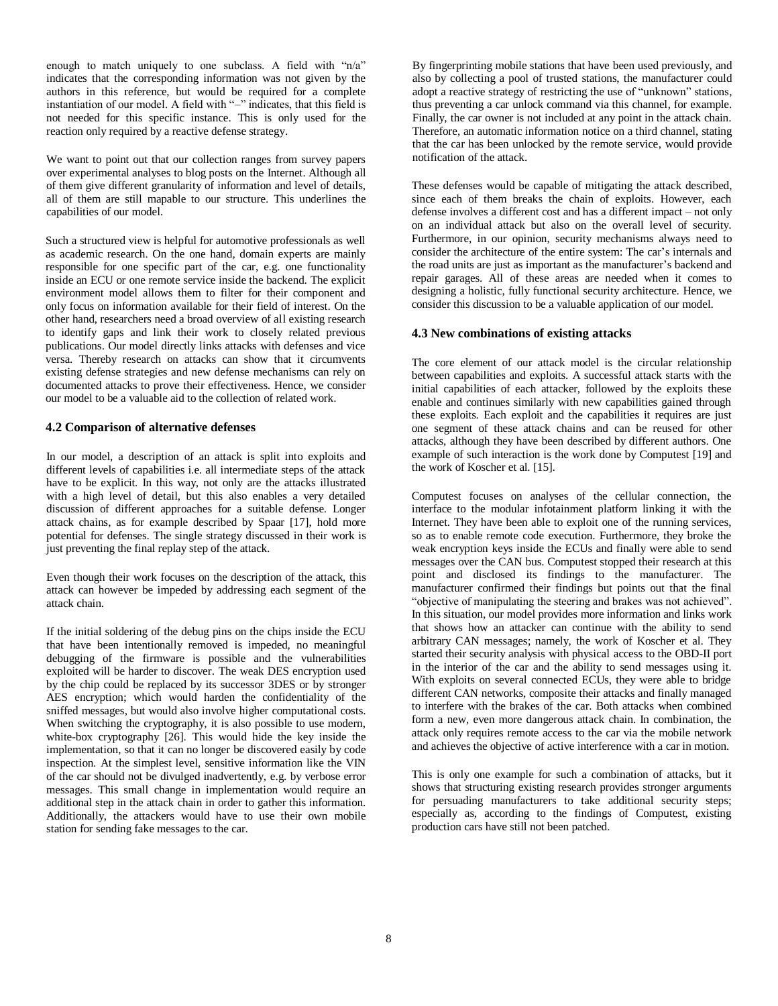enough to match uniquely to one subclass. A field with "n/a" indicates that the corresponding information was not given by the authors in this reference, but would be required for a complete instantiation of our model. A field with "–" indicates, that this field is not needed for this specific instance. This is only used for the reaction only required by a reactive defense strategy.

We want to point out that our collection ranges from survey papers over experimental analyses to blog posts on the Internet. Although all of them give different granularity of information and level of details, all of them are still mapable to our structure. This underlines the capabilities of our model.

Such a structured view is helpful for automotive professionals as well as academic research. On the one hand, domain experts are mainly responsible for one specific part of the car, e.g. one functionality inside an ECU or one remote service inside the backend. The explicit environment model allows them to filter for their component and only focus on information available for their field of interest. On the other hand, researchers need a broad overview of all existing research to identify gaps and link their work to closely related previous publications. Our model directly links attacks with defenses and vice versa. Thereby research on attacks can show that it circumvents existing defense strategies and new defense mechanisms can rely on documented attacks to prove their effectiveness. Hence, we consider our model to be a valuable aid to the collection of related work.

### **4.2 Comparison of alternative defenses**

In our model, a description of an attack is split into exploits and different levels of capabilities i.e. all intermediate steps of the attack have to be explicit. In this way, not only are the attacks illustrated with a high level of detail, but this also enables a very detailed discussion of different approaches for a suitable defense. Longer attack chains, as for example described by Spaar [17], hold more potential for defenses. The single strategy discussed in their work is just preventing the final replay step of the attack.

Even though their work focuses on the description of the attack, this attack can however be impeded by addressing each segment of the attack chain.

If the initial soldering of the debug pins on the chips inside the ECU that have been intentionally removed is impeded, no meaningful debugging of the firmware is possible and the vulnerabilities exploited will be harder to discover. The weak DES encryption used by the chip could be replaced by its successor 3DES or by stronger AES encryption; which would harden the confidentiality of the sniffed messages, but would also involve higher computational costs. When switching the cryptography, it is also possible to use modern, white-box cryptography [26]. This would hide the key inside the implementation, so that it can no longer be discovered easily by code inspection. At the simplest level, sensitive information like the VIN of the car should not be divulged inadvertently, e.g. by verbose error messages. This small change in implementation would require an additional step in the attack chain in order to gather this information. Additionally, the attackers would have to use their own mobile station for sending fake messages to the car.

By fingerprinting mobile stations that have been used previously, and also by collecting a pool of trusted stations, the manufacturer could adopt a reactive strategy of restricting the use of "unknown" stations, thus preventing a car unlock command via this channel, for example. Finally, the car owner is not included at any point in the attack chain. Therefore, an automatic information notice on a third channel, stating that the car has been unlocked by the remote service, would provide notification of the attack.

These defenses would be capable of mitigating the attack described, since each of them breaks the chain of exploits. However, each defense involves a different cost and has a different impact – not only on an individual attack but also on the overall level of security. Furthermore, in our opinion, security mechanisms always need to consider the architecture of the entire system: The car's internals and the road units are just as important as the manufacturer's backend and repair garages. All of these areas are needed when it comes to designing a holistic, fully functional security architecture. Hence, we consider this discussion to be a valuable application of our model.

### **4.3 New combinations of existing attacks**

The core element of our attack model is the circular relationship between capabilities and exploits. A successful attack starts with the initial capabilities of each attacker, followed by the exploits these enable and continues similarly with new capabilities gained through these exploits. Each exploit and the capabilities it requires are just one segment of these attack chains and can be reused for other attacks, although they have been described by different authors. One example of such interaction is the work done by Computest [19] and the work of Koscher et al. [15].

Computest focuses on analyses of the cellular connection, the interface to the modular infotainment platform linking it with the Internet. They have been able to exploit one of the running services, so as to enable remote code execution. Furthermore, they broke the weak encryption keys inside the ECUs and finally were able to send messages over the CAN bus. Computest stopped their research at this point and disclosed its findings to the manufacturer. The manufacturer confirmed their findings but points out that the final "objective of manipulating the steering and brakes was not achieved". In this situation, our model provides more information and links work that shows how an attacker can continue with the ability to send arbitrary CAN messages; namely, the work of Koscher et al. They started their security analysis with physical access to the OBD-II port in the interior of the car and the ability to send messages using it. With exploits on several connected ECUs, they were able to bridge different CAN networks, composite their attacks and finally managed to interfere with the brakes of the car. Both attacks when combined form a new, even more dangerous attack chain. In combination, the attack only requires remote access to the car via the mobile network and achieves the objective of active interference with a car in motion.

This is only one example for such a combination of attacks, but it shows that structuring existing research provides stronger arguments for persuading manufacturers to take additional security steps; especially as, according to the findings of Computest, existing production cars have still not been patched.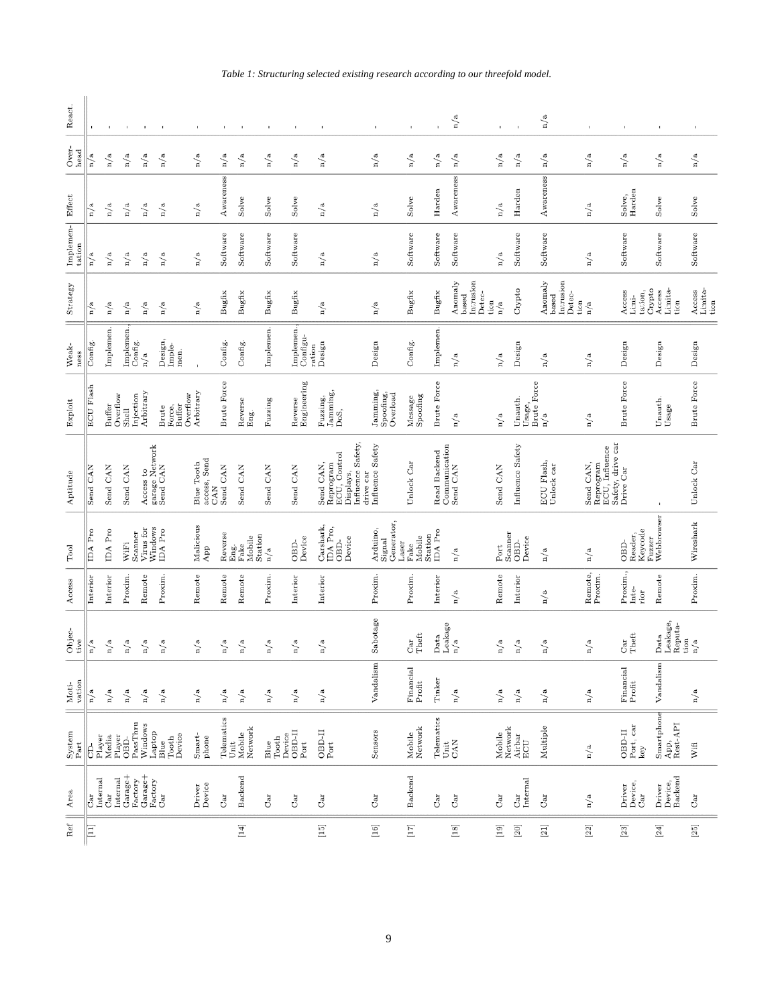| React.                        |                    |           |                         |                                                                                                  |                                       | $\mathbf{r}$                             | $\blacksquare$     | $\mathbf{I}$                            | $\blacksquare$ | $\mathbf I$                    | $\,$ I                                                                                    | $\mathbf{I}$                                                                                                                                                                                                                   | ï                                     |                                     | n/a                                                        | $\mathbf{I}$  |                                  | n/a                                                                                    | $\mathbf{I}$                             | $\mathbf{I}$                                                                                                                                                                                                                                                                                                                                                                                                                                                                                                                                                                                                                                                                       | $\,$ (                                                                                                                                                                                                                                                        | $\mathbf{I}$                                                             |
|-------------------------------|--------------------|-----------|-------------------------|--------------------------------------------------------------------------------------------------|---------------------------------------|------------------------------------------|--------------------|-----------------------------------------|----------------|--------------------------------|-------------------------------------------------------------------------------------------|--------------------------------------------------------------------------------------------------------------------------------------------------------------------------------------------------------------------------------|---------------------------------------|-------------------------------------|------------------------------------------------------------|---------------|----------------------------------|----------------------------------------------------------------------------------------|------------------------------------------|------------------------------------------------------------------------------------------------------------------------------------------------------------------------------------------------------------------------------------------------------------------------------------------------------------------------------------------------------------------------------------------------------------------------------------------------------------------------------------------------------------------------------------------------------------------------------------------------------------------------------------------------------------------------------------|---------------------------------------------------------------------------------------------------------------------------------------------------------------------------------------------------------------------------------------------------------------|--------------------------------------------------------------------------|
| Over-<br>head                 | n/a                | n/a       | n/a                     | n/a                                                                                              | n/a                                   | n/a                                      | n/a                | n/a                                     | n/a            | n/a                            | n/a                                                                                       | n/a                                                                                                                                                                                                                            | n/a                                   | n/a                                 | n/a                                                        | $\rm n/a$     | n/a                              | n/a                                                                                    | n/a                                      | n/a                                                                                                                                                                                                                                                                                                                                                                                                                                                                                                                                                                                                                                                                                | n/a                                                                                                                                                                                                                                                           | n/a                                                                      |
|                               | n/a                | n/a       | n/a                     | n/a                                                                                              | n/a                                   | n/a                                      | Awareness          | Solve                                   | Solve          | Solve                          | n/a                                                                                       | n/a                                                                                                                                                                                                                            | Solve                                 | Harden                              | Awareness                                                  | n/a           | Harden                           | Awareness                                                                              | n/a                                      | Harden<br>Solve,                                                                                                                                                                                                                                                                                                                                                                                                                                                                                                                                                                                                                                                                   | Solve                                                                                                                                                                                                                                                         | Solve                                                                    |
| Implemen-<br>Effect<br>tation | n/a                | n/a       | n/a                     | n/a                                                                                              | n/a                                   | n/a                                      | Software           | Software                                | Software       | Software                       | n/a                                                                                       | n/a                                                                                                                                                                                                                            | Software                              | Software                            | Software                                                   | n/a           | Software                         | Software                                                                               | n/a                                      | Software                                                                                                                                                                                                                                                                                                                                                                                                                                                                                                                                                                                                                                                                           | Software                                                                                                                                                                                                                                                      | Software                                                                 |
| Strategy                      | n/a                | n/a       | n/a                     | n/a                                                                                              | n/a                                   | n/a                                      | Bugfix             | Bugfix                                  | Bugfix         | Bugfix                         | n/a                                                                                       | n/a                                                                                                                                                                                                                            | Bugfix                                | Bugfix                              | Anomaly<br>Intrusion<br>$_{\rm 0}^{\rm 1}$ Detec-<br>based | n/a           | Crypto                           | $\begin{array}{c}\text{Among}\\\text{based}\end{array}$<br>Intrusion<br>Detec-<br>tion | n/a                                      | Crypto<br>Access<br>tation,<br>Limi-                                                                                                                                                                                                                                                                                                                                                                                                                                                                                                                                                                                                                                               | $\begin{array}{c} \text{Access} \\ \text{Limit} \end{array}$<br>tion                                                                                                                                                                                          | $\begin{array}{c}\text{Access}\\\text{Limit}\text{a}\text{-}\end{array}$ |
| Weak-<br>ness                 | Config.            | Implemen. | Implemen                | Config.<br>n/a                                                                                   | Design,<br>Imple-<br>men.             |                                          | Config.            | Config.                                 | Implemen.      | mplemen.<br>Configu-<br>ration | Design                                                                                    | Design                                                                                                                                                                                                                         | Config.                               | Implemen.                           | n/a                                                        | n/a           | Design                           | n/a                                                                                    | n/a                                      | Design                                                                                                                                                                                                                                                                                                                                                                                                                                                                                                                                                                                                                                                                             | Design                                                                                                                                                                                                                                                        | Design                                                                   |
| Exploit                       | <b>ECU</b> Flash   | Buffer    | Overflow<br>Shell       | Arbitrary<br>Injection                                                                           | Overflow<br>Force,<br>Buffer<br>Brute | Arbitrary                                | <b>Brute Force</b> | Reverse<br>Eng.                         | Fuzzing        | Engineering<br>Reverse         | Jamming,<br>Fuzzing,<br>DoS,                                                              | Jamming,<br>Spoofing,<br>Overload                                                                                                                                                                                              | Spoofing<br>Message                   | <b>Brute Force</b>                  | n/a                                                        | n/a           | Usage,<br>Brute Force<br>Unauth. | n/a                                                                                    | n/a                                      | <b>Brute Force</b>                                                                                                                                                                                                                                                                                                                                                                                                                                                                                                                                                                                                                                                                 | Unauth.<br>Usage                                                                                                                                                                                                                                              | <b>Brute Force</b>                                                       |
| Aptitude                      | <b>CAN</b><br>Send | Send CAN  | Send CAN                | Access to<br>garage Network<br>Send CAN                                                          |                                       | access, Send<br>CAN<br><b>Blue Tooth</b> | Send CAN           | Send CAN                                | Send CAN       | Send CAN                       | Displays,<br>Influence Safety,<br>ECU, Control<br>Send CAN,<br>Reprogram<br>drive car     | Influence Safety                                                                                                                                                                                                               | Unlock Car                            | Read Backend                        | Communication<br>Send CAN                                  | Send CAN      | Influence Safety                 | ECU Flash,<br>Unlock car                                                               | ECU, Influence<br>Send CAN,<br>Reprogram | Safety, drive car<br>Drive Car                                                                                                                                                                                                                                                                                                                                                                                                                                                                                                                                                                                                                                                     |                                                                                                                                                                                                                                                               | Unlock Car                                                               |
| $_{\rm Tool}$                 | IDA Pro            | IDA Pro   | WiFi                    | Windows<br>Virus for<br>Scanner                                                                  | <b>IDA</b> Pro                        | Malicious<br>$_{\rm{App}}$               | Reverse            | Eng.<br>Fake<br>Mobile<br>Station       | n/a            | Device<br>OBD-                 | $\begin{array}{c} \mbox{Carshark},\\ \mbox{IDA Pro},\\ \mbox{OBD-} \end{array}$<br>Device | Generator<br>Arduino,<br>Signal<br>Laser                                                                                                                                                                                       | Fake<br>Mobile                        | ${\rm Station} \atop {\rm IDA~Pro}$ | n/a                                                        | Port          | Scanner<br>OBD-<br>Device        | n/a                                                                                    | n/a                                      | Keycode<br>Reader,<br>Fuzzer<br>OBD-                                                                                                                                                                                                                                                                                                                                                                                                                                                                                                                                                                                                                                               | Webbrowser                                                                                                                                                                                                                                                    | Wireshark                                                                |
| Access                        | Interior           | Interior  | Proxim.                 | Remote                                                                                           | Proxim                                | Remote                                   | Remote             | Remote                                  | Proxim         | Interior                       | Interior                                                                                  | Proxim.                                                                                                                                                                                                                        | Proxim                                | Interior                            | n/a                                                        | Remote        | Interior                         | $\rm n/a$                                                                              | Remote,<br>Proxim.                       | Proxim.,<br>$Inte-$<br>rior                                                                                                                                                                                                                                                                                                                                                                                                                                                                                                                                                                                                                                                        | Remote                                                                                                                                                                                                                                                        | Proxim.                                                                  |
| Objec-<br>tive                | n/a                | n/a       | n/a                     | n/a                                                                                              | n/a                                   | n/a                                      | n/a                | n/a                                     | n/a            | n/a                            | n/a                                                                                       | Sabotage                                                                                                                                                                                                                       | Theft<br>Car                          | Data<br>Leakage<br>n/a              |                                                            | n/a           | $\rm n/a$                        | n/a                                                                                    | n/a                                      | Theft<br>Car                                                                                                                                                                                                                                                                                                                                                                                                                                                                                                                                                                                                                                                                       | Data<br>Leakage,<br>Reputa-<br>tion                                                                                                                                                                                                                           | n/a                                                                      |
| vation<br>   Moti-            | n/a                | n/a       | n/a                     | n/a                                                                                              | $\rm n/a$                             | n/a                                      | $\rm n/a$          | $\rm n/a$                               | $\rm n/a$      | n/a                            | $\rm n/a$                                                                                 | Vandalism                                                                                                                                                                                                                      | Financial<br>Profit                   | Tinker                              | n/a                                                        | $\rm n/a$     | $\rm n/a$                        | $\rm n/a$                                                                              | n/a                                      | Financial<br>Profit                                                                                                                                                                                                                                                                                                                                                                                                                                                                                                                                                                                                                                                                | Vandalism                                                                                                                                                                                                                                                     | n/a                                                                      |
| System<br>$_{\rm Part}$       | Player<br>6        | Media     | Player<br>OBD-          | ${\rm PassThru} \\ {\rm Windows}$<br>Laptop                                                      | Device<br>Tooth<br>Blue               | Smart-<br>phone                          |                    | Telematics<br>Unit<br>Mobile<br>Network | Tooth<br>Blue  | Device<br>OBD-II<br>Port       | <b>UBD-II</b><br>Port                                                                     | Sensors                                                                                                                                                                                                                        | Network<br>Mobile                     | Telematics                          | $\rm U_{AM}$ CAN                                           | Mobile        | Network<br>Airbar<br>ECU         | Multiple                                                                               | n/a                                      | Port, car<br><b>OBD-II</b><br>key                                                                                                                                                                                                                                                                                                                                                                                                                                                                                                                                                                                                                                                  | Smartphone<br>Rest-API<br>App,                                                                                                                                                                                                                                | Wifi                                                                     |
| Area                          | Internal<br>Car    | Car       | $Garcase +$<br>Internal | $\begin{array}{lcl} \texttt{Garage+} \\ \texttt{Factory} \\ \texttt{Car} \end{array}$<br>Factory |                                       | Driver<br>Device                         | $\rm{Car}$         | Backend                                 | Car            | Car                            | Car                                                                                       | $_{\rm{Car}}$                                                                                                                                                                                                                  | Backend                               | Car                                 | Car                                                        | $_{\rm{Car}}$ | Internal<br>Car                  | $\rm Ca r$                                                                             | n/a                                      | Device,<br>Driver<br>Car                                                                                                                                                                                                                                                                                                                                                                                                                                                                                                                                                                                                                                                           | Device,<br>Backend<br>Driver                                                                                                                                                                                                                                  | $\rm{Car}$                                                               |
| Ref                           | E                  |           |                         |                                                                                                  |                                       |                                          |                    | $[14] \label{eq:14}$                    |                |                                | $\begin{bmatrix} 1.5 \\ -1.5 \end{bmatrix}$                                               | $[16] \centering% \includegraphics[width=0.3\textwidth]{images/TransY.pdf}% \caption{The figure shows the results of the estimators in the left and right. The left and right is the same as in the right.} \label{fig:class}$ | $\begin{bmatrix} 1 & 7 \end{bmatrix}$ |                                     | $[18]$                                                     | $[19]$        | $[20]$                           | $\left[21\right]$                                                                      | $[22]$                                   | $[23] \centering% \includegraphics[width=1\textwidth]{images/TrDiS.pdf} \includegraphics[width=1\textwidth]{images/TrDiS.pdf} \includegraphics[width=1\textwidth]{images/TrDiS.pdf} \includegraphics[width=1\textwidth]{images/TrDiS.pdf} \includegraphics[width=1\textwidth]{images/TrDiS.pdf} \includegraphics[width=1\textwidth]{images/TrDiS.pdf} \includegraphics[width=1\textwidth]{images/TrDiS.pdf} \includegraphics[width=1\textwidth]{images/TrDiS.pdf} \includegraphics[width=1\textwidth]{images/TrDiS.pdf} \includegraphics[width=1\textwidth]{images/TrDiS.pdf} \includegraphics[width=1\textwidth]{images/TrDiS.pdf} \includegraphics[width=1\textwidth]{images/Tr$ | $[24] % \includegraphics[width=0.9\columnwidth]{figures/fig_4} \caption{A=25.8cm \label{fig:2} \includegraphics[width=0.9\columnwidth]{figures/fig_4} \caption{A=25.8cm \label{fig:2} \includegraphics[width=0.9\columnwidth]{figures/fig_4} \label{fig:2} }$ | $[25]$                                                                   |

### *Table 1: Structuring selected existing research according to our threefold model.*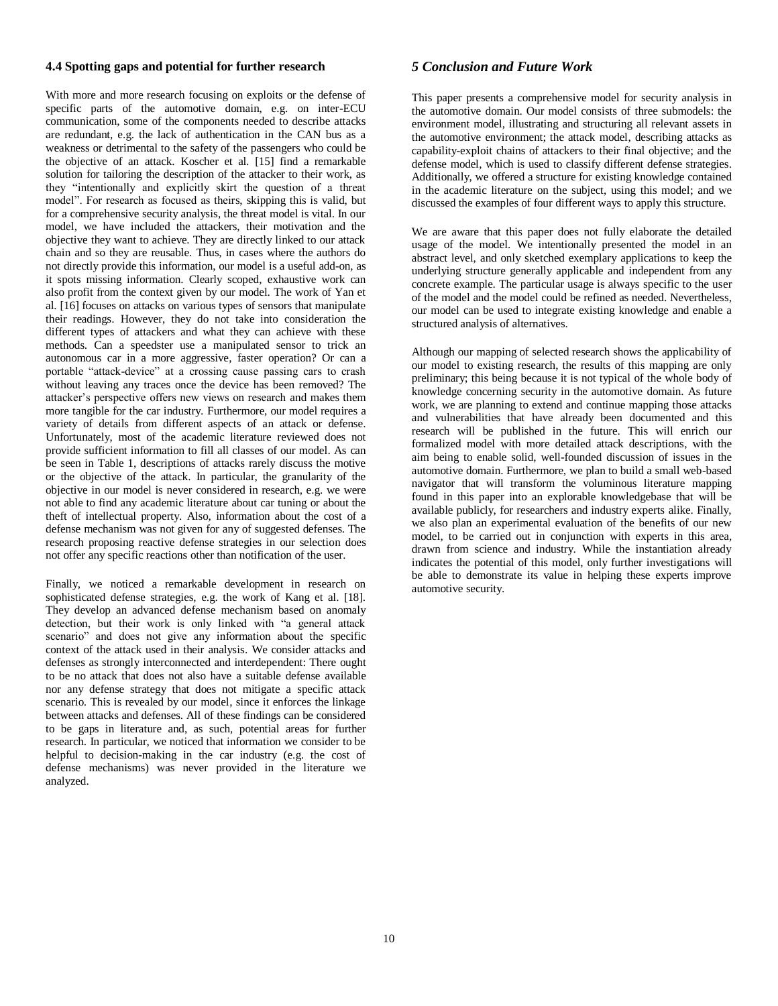#### **4.4 Spotting gaps and potential for further research**

With more and more research focusing on exploits or the defense of specific parts of the automotive domain, e.g. on inter-ECU communication, some of the components needed to describe attacks are redundant, e.g. the lack of authentication in the CAN bus as a weakness or detrimental to the safety of the passengers who could be the objective of an attack. Koscher et al. [15] find a remarkable solution for tailoring the description of the attacker to their work, as they "intentionally and explicitly skirt the question of a threat model". For research as focused as theirs, skipping this is valid, but for a comprehensive security analysis, the threat model is vital. In our model, we have included the attackers, their motivation and the objective they want to achieve. They are directly linked to our attack chain and so they are reusable. Thus, in cases where the authors do not directly provide this information, our model is a useful add-on, as it spots missing information. Clearly scoped, exhaustive work can also profit from the context given by our model. The work of Yan et al. [16] focuses on attacks on various types of sensors that manipulate their readings. However, they do not take into consideration the different types of attackers and what they can achieve with these methods. Can a speedster use a manipulated sensor to trick an autonomous car in a more aggressive, faster operation? Or can a portable "attack-device" at a crossing cause passing cars to crash without leaving any traces once the device has been removed? The attacker's perspective offers new views on research and makes them more tangible for the car industry. Furthermore, our model requires a variety of details from different aspects of an attack or defense. Unfortunately, most of the academic literature reviewed does not provide sufficient information to fill all classes of our model. As can be seen in Table 1, descriptions of attacks rarely discuss the motive or the objective of the attack. In particular, the granularity of the objective in our model is never considered in research, e.g. we were not able to find any academic literature about car tuning or about the theft of intellectual property. Also, information about the cost of a defense mechanism was not given for any of suggested defenses. The research proposing reactive defense strategies in our selection does not offer any specific reactions other than notification of the user.

Finally, we noticed a remarkable development in research on sophisticated defense strategies, e.g. the work of Kang et al. [18]. They develop an advanced defense mechanism based on anomaly detection, but their work is only linked with "a general attack scenario" and does not give any information about the specific context of the attack used in their analysis. We consider attacks and defenses as strongly interconnected and interdependent: There ought to be no attack that does not also have a suitable defense available nor any defense strategy that does not mitigate a specific attack scenario. This is revealed by our model, since it enforces the linkage between attacks and defenses. All of these findings can be considered to be gaps in literature and, as such, potential areas for further research. In particular, we noticed that information we consider to be helpful to decision-making in the car industry (e.g. the cost of defense mechanisms) was never provided in the literature we analyzed.

### *5 Conclusion and Future Work*

This paper presents a comprehensive model for security analysis in the automotive domain. Our model consists of three submodels: the environment model, illustrating and structuring all relevant assets in the automotive environment; the attack model, describing attacks as capability-exploit chains of attackers to their final objective; and the defense model, which is used to classify different defense strategies. Additionally, we offered a structure for existing knowledge contained in the academic literature on the subject, using this model; and we discussed the examples of four different ways to apply this structure.

We are aware that this paper does not fully elaborate the detailed usage of the model. We intentionally presented the model in an abstract level, and only sketched exemplary applications to keep the underlying structure generally applicable and independent from any concrete example. The particular usage is always specific to the user of the model and the model could be refined as needed. Nevertheless, our model can be used to integrate existing knowledge and enable a structured analysis of alternatives.

Although our mapping of selected research shows the applicability of our model to existing research, the results of this mapping are only preliminary; this being because it is not typical of the whole body of knowledge concerning security in the automotive domain. As future work, we are planning to extend and continue mapping those attacks and vulnerabilities that have already been documented and this research will be published in the future. This will enrich our formalized model with more detailed attack descriptions, with the aim being to enable solid, well-founded discussion of issues in the automotive domain. Furthermore, we plan to build a small web-based navigator that will transform the voluminous literature mapping found in this paper into an explorable knowledgebase that will be available publicly, for researchers and industry experts alike. Finally, we also plan an experimental evaluation of the benefits of our new model, to be carried out in conjunction with experts in this area, drawn from science and industry. While the instantiation already indicates the potential of this model, only further investigations will be able to demonstrate its value in helping these experts improve automotive security.